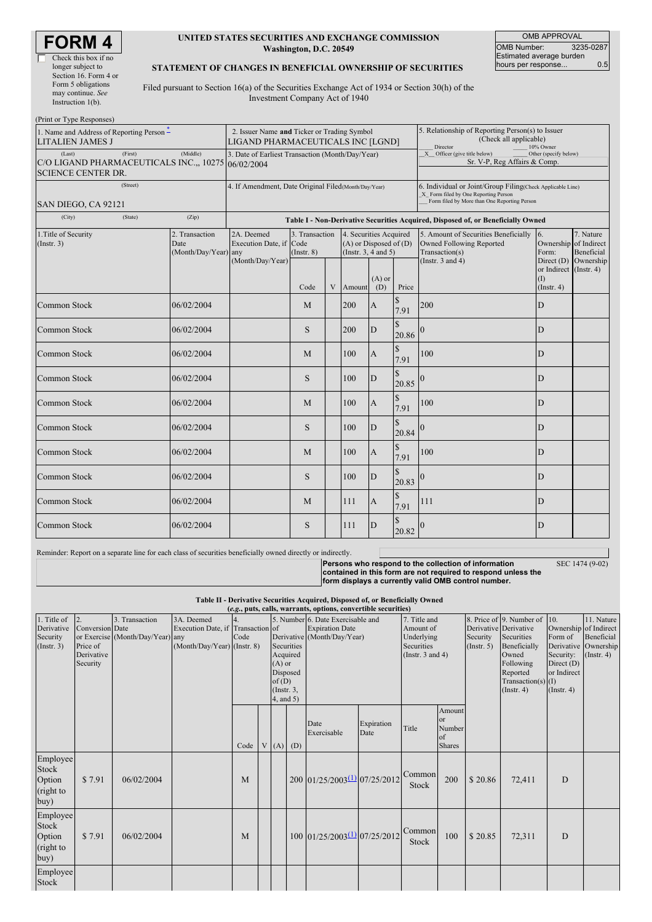| RM                   |
|----------------------|
| Check this box if no |

| Check this box if no  |
|-----------------------|
| longer subject to     |
| Section 16. Form 4 or |
| Form 5 obligations    |
| may continue. See     |
| Instruction $1(b)$ .  |

#### **UNITED STATES SECURITIES AND EXCHANGE COMMISSION Washington, D.C. 20549**

OMB APPROVAL OMB Number: 3235-0287 Estimated average burden hours per response... 0.5

#### **STATEMENT OF CHANGES IN BENEFICIAL OWNERSHIP OF SECURITIES**

Filed pursuant to Section 16(a) of the Securities Exchange Act of 1934 or Section 30(h) of the Investment Company Act of 1940

| (Print or Type Responses)<br>1. Name and Address of Reporting Person $\stackrel{*}{\text{-}}$<br><b>LITALIEN JAMES J</b> | 2. Issuer Name and Ticker or Trading Symbol<br>LIGAND PHARMACEUTICALS INC [LGND] |                                       |                                   |   |                                                                                  | 5. Relationship of Reporting Person(s) to Issuer<br>(Check all applicable)<br>Director<br>10% Owner                                                |                        |                                                                                                                                                                        |                                                   |                         |
|--------------------------------------------------------------------------------------------------------------------------|----------------------------------------------------------------------------------|---------------------------------------|-----------------------------------|---|----------------------------------------------------------------------------------|----------------------------------------------------------------------------------------------------------------------------------------------------|------------------------|------------------------------------------------------------------------------------------------------------------------------------------------------------------------|---------------------------------------------------|-------------------------|
| (Last)<br>(First)<br>C/O LIGAND PHARMACEUTICALS INC.,, 10275 06/02/2004<br><b>SCIENCE CENTER DR.</b>                     | 3. Date of Earliest Transaction (Month/Day/Year)                                 |                                       |                                   |   |                                                                                  | X Officer (give title below)<br>Other (specify below)<br>Sr. V-P, Reg Affairs & Comp.                                                              |                        |                                                                                                                                                                        |                                                   |                         |
| (Street)                                                                                                                 | 4. If Amendment, Date Original Filed (Month/Day/Year)                            |                                       |                                   |   |                                                                                  | 6. Individual or Joint/Group Filing(Check Applicable Line)<br>X Form filed by One Reporting Person<br>Form filed by More than One Reporting Person |                        |                                                                                                                                                                        |                                                   |                         |
| SAN DIEGO, CA 92121<br>(City)<br>(State)                                                                                 | (Zip)                                                                            |                                       |                                   |   |                                                                                  |                                                                                                                                                    |                        |                                                                                                                                                                        |                                                   |                         |
| 1. Title of Security<br>(Insert. 3)                                                                                      | 2. Transaction<br>Date<br>(Month/Day/Year) any                                   | 2A. Deemed<br>Execution Date, if Code | 3. Transaction<br>$($ Instr. $8)$ |   | 4. Securities Acquired<br>$(A)$ or Disposed of $(D)$<br>(Instr. $3, 4$ and $5$ ) |                                                                                                                                                    |                        | Table I - Non-Derivative Securities Acquired, Disposed of, or Beneficially Owned<br>5. Amount of Securities Beneficially<br>Owned Following Reported<br>Transaction(s) | <sup>6.</sup><br>Ownership of Indirect<br>Form:   | 7. Nature<br>Beneficial |
|                                                                                                                          |                                                                                  | (Month/Day/Year)                      | Code                              | V | Amount                                                                           | $(A)$ or<br>(D)                                                                                                                                    | Price                  | (Instr. $3$ and $4$ )                                                                                                                                                  | or Indirect (Instr. 4)<br>(1)<br>$($ Instr. 4 $)$ | Direct (D) Ownership    |
| Common Stock                                                                                                             | 06/02/2004                                                                       |                                       | M                                 |   | 200                                                                              | $\mathbf{A}$                                                                                                                                       | 7.91                   | 200                                                                                                                                                                    | D                                                 |                         |
| Common Stock                                                                                                             | 06/02/2004                                                                       |                                       | S                                 |   | 200                                                                              | D                                                                                                                                                  | $\mathcal{S}$<br>20.86 |                                                                                                                                                                        | D                                                 |                         |
| Common Stock                                                                                                             | 06/02/2004                                                                       |                                       | M                                 |   | 100                                                                              | $\mathbf{A}$                                                                                                                                       | S<br>7.91              | 100                                                                                                                                                                    | D                                                 |                         |
| <b>Common Stock</b>                                                                                                      | 06/02/2004                                                                       |                                       | S                                 |   | 100                                                                              | D                                                                                                                                                  | \$<br>20.85            |                                                                                                                                                                        | D                                                 |                         |
| Common Stock                                                                                                             | 06/02/2004                                                                       |                                       | M                                 |   | 100                                                                              | $\mathbf{A}$                                                                                                                                       | \$<br>7.91             | 100                                                                                                                                                                    | D                                                 |                         |
| Common Stock                                                                                                             | 06/02/2004                                                                       |                                       | S                                 |   | 100                                                                              | D                                                                                                                                                  | \$<br>20.84            |                                                                                                                                                                        | D                                                 |                         |
| Common Stock                                                                                                             | 06/02/2004                                                                       |                                       | M                                 |   | 100                                                                              | $\mathbf{A}$                                                                                                                                       | \$<br>7.91             | 100                                                                                                                                                                    | D                                                 |                         |
| Common Stock                                                                                                             | 06/02/2004                                                                       |                                       | S                                 |   | 100                                                                              | D                                                                                                                                                  | \$<br>20.83            |                                                                                                                                                                        | D                                                 |                         |
| <b>Common Stock</b>                                                                                                      | 06/02/2004                                                                       |                                       | M                                 |   | 111                                                                              | $\overline{A}$                                                                                                                                     | \$<br>7.91             | 111                                                                                                                                                                    | D                                                 |                         |
| Common Stock                                                                                                             | 06/02/2004                                                                       |                                       | S                                 |   | 111                                                                              | D                                                                                                                                                  | 20.82                  | $\bf{0}$                                                                                                                                                               | D                                                 |                         |
| Reminder: Report on a separate line for each class of securities beneficially owned directly or indirectly.              |                                                                                  |                                       |                                   |   |                                                                                  |                                                                                                                                                    |                        |                                                                                                                                                                        |                                                   |                         |

**Persons who respond to the collection of information contained in this form are not required to respond unless the form displays a currently valid OMB control number.**

SEC 1474 (9-02)

**Table II - Derivative Securities Acquired, Disposed of, or Beneficially Owned (***e.g.***, puts, calls, warrants, options, convertible securities)**

| (e.g., puts, cans, warrants, options, convertible securities) |                        |                                  |                                   |      |   |                 |                   |                                   |            |                       |               |             |                          |                       |               |
|---------------------------------------------------------------|------------------------|----------------------------------|-----------------------------------|------|---|-----------------|-------------------|-----------------------------------|------------|-----------------------|---------------|-------------|--------------------------|-----------------------|---------------|
| 1. Title of                                                   | $\overline{2}$ .       | 3. Transaction                   | 3A. Deemed                        |      |   |                 |                   | 5. Number 6. Date Exercisable and |            | 7. Title and          |               |             | 8. Price of 9. Number of | 10.                   | 11. Nature    |
| Derivative                                                    | <b>Conversion</b> Date |                                  | Execution Date, if Transaction of |      |   |                 |                   | <b>Expiration Date</b>            |            | Amount of             |               |             | Derivative Derivative    | Ownership of Indirect |               |
| Security                                                      |                        | or Exercise (Month/Day/Year) any |                                   | Code |   |                 |                   | Derivative (Month/Day/Year)       | Underlying |                       | Security      | Securities  | Form of                  | Beneficial            |               |
| (Insert. 3)                                                   | Price of               |                                  | (Month/Day/Year) (Instr. 8)       |      |   |                 | <b>Securities</b> |                                   |            | Securities            |               | (Insert. 5) | Beneficially             | Derivative Ownership  |               |
|                                                               | Derivative             |                                  |                                   |      |   |                 | Acquired          |                                   |            | (Instr. $3$ and $4$ ) |               |             | Owned                    | Security:             | $($ Instr. 4) |
|                                                               | Security               |                                  |                                   |      |   | $(A)$ or        |                   |                                   |            |                       |               |             | Following                | Direct $(D)$          |               |
|                                                               |                        |                                  |                                   |      |   |                 | Disposed          |                                   |            |                       |               |             | Reported                 | or Indirect           |               |
|                                                               |                        |                                  |                                   |      |   | of(D)           |                   |                                   |            |                       |               |             | Transaction(s) $(I)$     |                       |               |
|                                                               |                        |                                  |                                   |      |   | $($ Instr. $3,$ |                   |                                   |            |                       |               |             | (Insert. 4)              | $($ Instr. 4 $)$      |               |
|                                                               |                        |                                  |                                   |      |   | $4$ , and $5$ ) |                   |                                   |            |                       |               |             |                          |                       |               |
|                                                               |                        |                                  |                                   |      |   |                 |                   |                                   |            |                       | Amount        |             |                          |                       |               |
|                                                               |                        |                                  |                                   |      |   |                 |                   |                                   |            |                       | <b>or</b>     |             |                          |                       |               |
|                                                               |                        |                                  |                                   |      |   |                 |                   | Date                              | Expiration | Title                 | Number        |             |                          |                       |               |
|                                                               |                        |                                  |                                   |      |   |                 |                   | Exercisable                       | Date       |                       | of            |             |                          |                       |               |
|                                                               |                        |                                  |                                   | Code | V |                 | $(A)$ $(D)$       |                                   |            |                       | <b>Shares</b> |             |                          |                       |               |
| Employee                                                      |                        |                                  |                                   |      |   |                 |                   |                                   |            |                       |               |             |                          |                       |               |
| Stock                                                         |                        |                                  |                                   |      |   |                 |                   |                                   |            |                       |               |             |                          |                       |               |
|                                                               |                        |                                  |                                   |      |   |                 |                   | 200 01/25/2003(1) 07/25/2012      |            | Common                |               |             |                          |                       |               |
| Option                                                        | \$7.91                 | 06/02/2004                       |                                   | M    |   |                 |                   |                                   |            | Stock                 | 200           | \$20.86     | 72,411                   | D                     |               |
| (right to                                                     |                        |                                  |                                   |      |   |                 |                   |                                   |            |                       |               |             |                          |                       |               |
| buy)                                                          |                        |                                  |                                   |      |   |                 |                   |                                   |            |                       |               |             |                          |                       |               |
| Employee                                                      |                        |                                  |                                   |      |   |                 |                   |                                   |            |                       |               |             |                          |                       |               |
| Stock                                                         |                        |                                  |                                   |      |   |                 |                   |                                   |            |                       |               |             |                          |                       |               |
| Option                                                        | \$7.91                 | 06/02/2004                       |                                   | M    |   |                 |                   | 100 01/25/2003(1) 07/25/2012      |            | Common                | 100           | \$20.85     | 72,311                   | D                     |               |
|                                                               |                        |                                  |                                   |      |   |                 |                   |                                   |            | Stock                 |               |             |                          |                       |               |
| (right to                                                     |                        |                                  |                                   |      |   |                 |                   |                                   |            |                       |               |             |                          |                       |               |
| buy)                                                          |                        |                                  |                                   |      |   |                 |                   |                                   |            |                       |               |             |                          |                       |               |
| Employee                                                      |                        |                                  |                                   |      |   |                 |                   |                                   |            |                       |               |             |                          |                       |               |
| Stock                                                         |                        |                                  |                                   |      |   |                 |                   |                                   |            |                       |               |             |                          |                       |               |